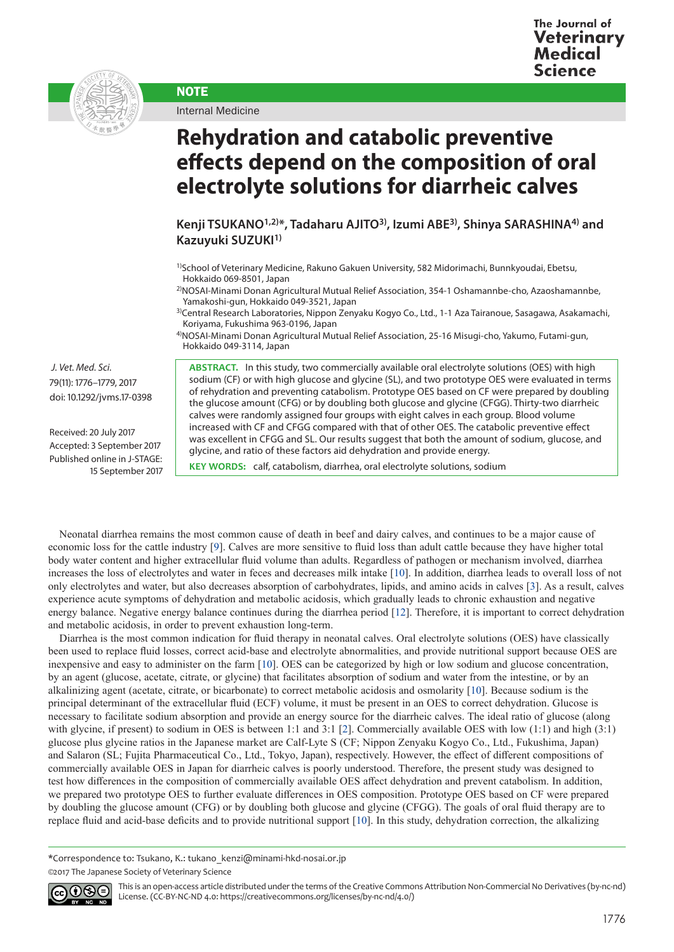



Internal Medicine

**NOTE** 

**Rehydration and catabolic preventive effects depend on the composition of oral electrolyte solutions for diarrheic calves**

**Kenji TSUKANO1,2)\*, Tadaharu AJITO3), Izumi ABE3), Shinya SARASHINA4) and Kazuyuki SUZUKI1)**

3)Central Research Laboratories, Nippon Zenyaku Kogyo Co., Ltd., 1-1 Aza Tairanoue, Sasagawa, Asakamachi, Koriyama, Fukushima 963-0196, Japan

4)NOSAI-Minami Donan Agricultural Mutual Relief Association, 25-16 Misugi-cho, Yakumo, Futami-gun, Hokkaido 049-3114, Japan

 *J. Vet. Med. Sci.*  79(11): 1776–1779, 2017 doi: 10.1292/jvms.17-0398

Received: 20 July 2017 Accepted: 3 September 2017 Published online in J-STAGE: 15 September 2017 **ABSTRACT.** In this study, two commercially available oral electrolyte solutions (OES) with high sodium (CF) or with high glucose and glycine (SL), and two prototype OES were evaluated in terms of rehydration and preventing catabolism. Prototype OES based on CF were prepared by doubling the glucose amount (CFG) or by doubling both glucose and glycine (CFGG). Thirty-two diarrheic calves were randomly assigned four groups with eight calves in each group. Blood volume increased with CF and CFGG compared with that of other OES. The catabolic preventive effect was excellent in CFGG and SL. Our results suggest that both the amount of sodium, glucose, and glycine, and ratio of these factors aid dehydration and provide energy.

**KEY WORDS:** calf, catabolism, diarrhea, oral electrolyte solutions, sodium

Neonatal diarrhea remains the most common cause of death in beef and dairy calves, and continues to be a major cause of economic loss for the cattle industry [[9](#page-3-0)]. Calves are more sensitive to fluid loss than adult cattle because they have higher total body water content and higher extracellular fluid volume than adults. Regardless of pathogen or mechanism involved, diarrhea increases the loss of electrolytes and water in feces and decreases milk intake [\[10\]](#page-3-1). In addition, diarrhea leads to overall loss of not only electrolytes and water, but also decreases absorption of carbohydrates, lipids, and amino acids in calves [[3](#page-3-2)]. As a result, calves experience acute symptoms of dehydration and metabolic acidosis, which gradually leads to chronic exhaustion and negative energy balance. Negative energy balance continues during the diarrhea period [[12](#page-3-3)]. Therefore, it is important to correct dehydration and metabolic acidosis, in order to prevent exhaustion long-term.

Diarrhea is the most common indication for fluid therapy in neonatal calves. Oral electrolyte solutions (OES) have classically been used to replace fluid losses, correct acid-base and electrolyte abnormalities, and provide nutritional support because OES are inexpensive and easy to administer on the farm [[10](#page-3-1)]. OES can be categorized by high or low sodium and glucose concentration, by an agent (glucose, acetate, citrate, or glycine) that facilitates absorption of sodium and water from the intestine, or by an alkalinizing agent (acetate, citrate, or bicarbonate) to correct metabolic acidosis and osmolarity [[10](#page-3-1)]. Because sodium is the principal determinant of the extracellular fluid (ECF) volume, it must be present in an OES to correct dehydration. Glucose is necessary to facilitate sodium absorption and provide an energy source for the diarrheic calves. The ideal ratio of glucose (along with glycine, if present) to sodium in OES is between 1:1 and 3:1 [[2](#page-3-4)]. Commercially available OES with low (1:1) and high (3:1) glucose plus glycine ratios in the Japanese market are Calf-Lyte S (CF; Nippon Zenyaku Kogyo Co., Ltd., Fukushima, Japan) and Salaron (SL; Fujita Pharmaceutical Co., Ltd., Tokyo, Japan), respectively. However, the effect of different compositions of commercially available OES in Japan for diarrheic calves is poorly understood. Therefore, the present study was designed to test how differences in the composition of commercially available OES affect dehydration and prevent catabolism. In addition, we prepared two prototype OES to further evaluate differences in OES composition. Prototype OES based on CF were prepared by doubling the glucose amount (CFG) or by doubling both glucose and glycine (CFGG). The goals of oral fluid therapy are to replace fluid and acid-base deficits and to provide nutritional support [[10](#page-3-1)]. In this study, dehydration correction, the alkalizing

\*Correspondence to: Tsukano, K.: tukano\_kenzi@minami-hkd-nosai.or.jp

<sup>©2017</sup> The Japanese Society of Veterinary Science



This is an open-access article distributed under the terms of the Creative Commons Attribution Non-Commercial No Derivatives (by-nc-nd) License. (CC-BY-NC-ND 4.0: <https://creativecommons.org/licenses/by-nc-nd/4.0/>)

<sup>&</sup>lt;sup>1)</sup>School of Veterinary Medicine, Rakuno Gakuen University, 582 Midorimachi, Bunnkyoudai, Ebetsu, Hokkaido 069-8501, Japan

<sup>2)</sup>NOSAI-Minami Donan Agricultural Mutual Relief Association, 354-1 Oshamannbe-cho, Azaoshamannbe, Yamakoshi-gun, Hokkaido 049-3521, Japan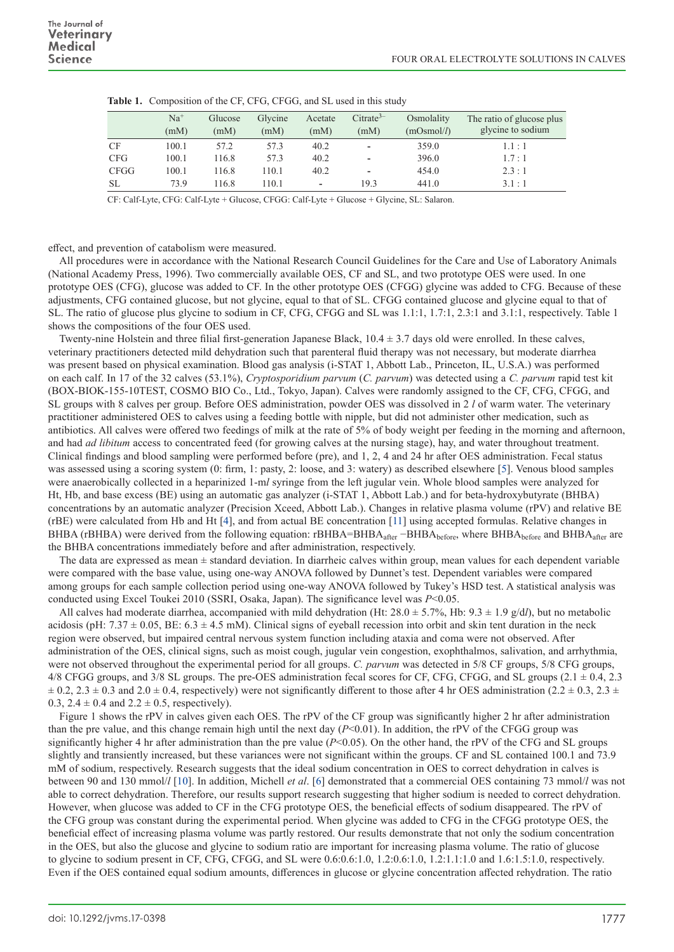|             | $Na+$<br>(mM) | Glucose<br>(mM) | Glycine<br>(mM) | Acetate<br>(mM)          | Citrate <sup>3–</sup><br>(mM) | Osmolality<br>(mOsmol/l) | The ratio of glucose plus<br>glycine to sodium |
|-------------|---------------|-----------------|-----------------|--------------------------|-------------------------------|--------------------------|------------------------------------------------|
| CF          | 100.1         | 57.2            | 57.3            | 40.2                     | $\overline{\phantom{a}}$      | 359.0                    | 1.1:1                                          |
| <b>CFG</b>  | 100.1         | 116.8           | 57.3            | 40.2                     | $\overline{\phantom{0}}$      | 396.0                    | 1.7:1                                          |
| <b>CFGG</b> | 100.1         | 116.8           | 10.1            | 40.2                     | $\overline{\phantom{0}}$      | 454.0                    | 2.3:1                                          |
| <b>SL</b>   | 73.9          | 116.8           | 10.1            | $\overline{\phantom{a}}$ | 19.3                          | 441.0                    | 3.1:1                                          |

|  |  | <b>Table 1.</b> Composition of the CF, CFG, CFGG, and SL used in this study |  |  |  |  |
|--|--|-----------------------------------------------------------------------------|--|--|--|--|
|--|--|-----------------------------------------------------------------------------|--|--|--|--|

CF: Calf-Lyte, CFG: Calf-Lyte + Glucose, CFGG: Calf-Lyte + Glucose + Glycine, SL: Salaron.

effect, and prevention of catabolism were measured.

All procedures were in accordance with the National Research Council Guidelines for the Care and Use of Laboratory Animals (National Academy Press, 1996). Two commercially available OES, CF and SL, and two prototype OES were used. In one prototype OES (CFG), glucose was added to CF. In the other prototype OES (CFGG) glycine was added to CFG. Because of these adjustments, CFG contained glucose, but not glycine, equal to that of SL. CFGG contained glucose and glycine equal to that of SL. The ratio of glucose plus glycine to sodium in CF, CFG, CFGG and SL was 1.1:1, 1.7:1, 2.3:1 and 3.1:1, respectively. Table 1 shows the compositions of the four OES used.

Twenty-nine Holstein and three filial first-generation Japanese Black,  $10.4 \pm 3.7$  days old were enrolled. In these calves, veterinary practitioners detected mild dehydration such that parenteral fluid therapy was not necessary, but moderate diarrhea was present based on physical examination. Blood gas analysis (i-STAT 1, Abbott Lab., Princeton, IL, U.S.A.) was performed on each calf. In 17 of the 32 calves (53.1%), *Cryptosporidium parvum* (*C. parvum*) was detected using a *C. parvum* rapid test kit (BOX-BIOK-155-10TEST, COSMO BIO Co., Ltd., Tokyo, Japan). Calves were randomly assigned to the CF, CFG, CFGG, and SL groups with 8 calves per group. Before OES administration, powder OES was dissolved in 2 *l* of warm water. The veterinary practitioner administered OES to calves using a feeding bottle with nipple, but did not administer other medication, such as antibiotics. All calves were offered two feedings of milk at the rate of 5% of body weight per feeding in the morning and afternoon, and had *ad libitum* access to concentrated feed (for growing calves at the nursing stage), hay, and water throughout treatment. Clinical findings and blood sampling were performed before (pre), and 1, 2, 4 and 24 hr after OES administration. Fecal status was assessed using a scoring system (0: firm, 1: pasty, 2: loose, and 3: watery) as described elsewhere [[5\]](#page-3-5). Venous blood samples were anaerobically collected in a heparinized 1-m*l* syringe from the left jugular vein. Whole blood samples were analyzed for Ht, Hb, and base excess (BE) using an automatic gas analyzer (i-STAT 1, Abbott Lab.) and for beta-hydroxybutyrate (BHBA) concentrations by an automatic analyzer (Precision Xceed, Abbott Lab.). Changes in relative plasma volume (rPV) and relative BE (rBE) were calculated from Hb and Ht [\[4](#page-3-6)], and from actual BE concentration [[11](#page-3-7)] using accepted formulas. Relative changes in BHBA (rBHBA) were derived from the following equation: rBHBA=BHBA<sub>after</sub> −BHBA<sub>before</sub>, where BHBA<sub>before</sub> and BHBA<sub>after</sub> are the BHBA concentrations immediately before and after administration, respectively.

The data are expressed as mean  $\pm$  standard deviation. In diarrheic calves within group, mean values for each dependent variable were compared with the base value, using one-way ANOVA followed by Dunnet's test. Dependent variables were compared among groups for each sample collection period using one-way ANOVA followed by Tukey's HSD test. A statistical analysis was conducted using Excel Toukei 2010 (SSRI, Osaka, Japan). The significance level was *P*<0.05.

All calves had moderate diarrhea, accompanied with mild dehydration (Ht:  $28.0 \pm 5.7\%$ , Hb:  $9.3 \pm 1.9$  g/d/), but no metabolic acidosis (pH:  $7.37 \pm 0.05$ , BE:  $6.3 \pm 4.5$  mM). Clinical signs of eyeball recession into orbit and skin tent duration in the neck region were observed, but impaired central nervous system function including ataxia and coma were not observed. After administration of the OES, clinical signs, such as moist cough, jugular vein congestion, exophthalmos, salivation, and arrhythmia, were not observed throughout the experimental period for all groups. *C. parvum* was detected in 5/8 CF groups, 5/8 CFG groups, 4/8 CFGG groups, and 3/8 SL groups. The pre-OES administration fecal scores for CF, CFG, CFGG, and SL groups  $(2.1 \pm 0.4, 2.3)$  $\pm$  0.2, 2.3  $\pm$  0.3 and 2.0  $\pm$  0.4, respectively) were not significantly different to those after 4 hr OES administration (2.2  $\pm$  0.3, 2.3  $\pm$ 0.3,  $2.4 \pm 0.4$  and  $2.2 \pm 0.5$ , respectively).

Figure 1 shows the rPV in calves given each OES. The rPV of the CF group was significantly higher 2 hr after administration than the pre value, and this change remain high until the next day (*P*<0.01). In addition, the rPV of the CFGG group was significantly higher 4 hr after administration than the pre value  $(P< 0.05)$ . On the other hand, the rPV of the CFG and SL groups slightly and transiently increased, but these variances were not significant within the groups. CF and SL contained 100.1 and 73.9 mM of sodium, respectively. Research suggests that the ideal sodium concentration in OES to correct dehydration in calves is between 90 and 130 mmol/*l* [\[10](#page-3-1)]. In addition, Michell *et al*. [[6\]](#page-3-8) demonstrated that a commercial OES containing 73 mmol/*l* was not able to correct dehydration. Therefore, our results support research suggesting that higher sodium is needed to correct dehydration. However, when glucose was added to CF in the CFG prototype OES, the beneficial effects of sodium disappeared. The rPV of the CFG group was constant during the experimental period. When glycine was added to CFG in the CFGG prototype OES, the beneficial effect of increasing plasma volume was partly restored. Our results demonstrate that not only the sodium concentration in the OES, but also the glucose and glycine to sodium ratio are important for increasing plasma volume. The ratio of glucose to glycine to sodium present in CF, CFG, CFGG, and SL were 0.6:0.6:1.0, 1.2:0.6:1.0, 1.2:1.1:1.0 and 1.6:1.5:1.0, respectively. Even if the OES contained equal sodium amounts, differences in glucose or glycine concentration affected rehydration. The ratio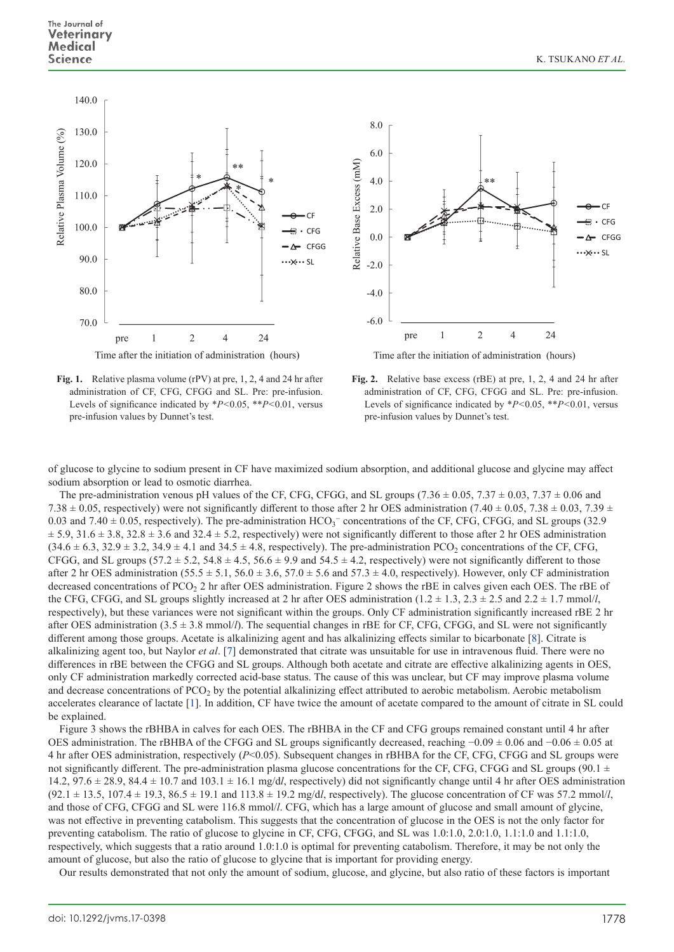









of glucose to glycine to sodium present in CF have maximized sodium absorption, and additional glucose and glycine may affect sodium absorption or lead to osmotic diarrhea.

The pre-administration venous pH values of the CF, CFG, CFGG, and SL groups  $(7.36 \pm 0.05, 7.37 \pm 0.03, 7.37 \pm 0.06, 7.37 \pm 0.07)$ 7.38  $\pm$  0.05, respectively) were not significantly different to those after 2 hr OES administration (7.40  $\pm$  0.05, 7.38  $\pm$  0.03, 7.39  $\pm$ 0.03 and  $7.40 \pm 0.05$ , respectively). The pre-administration  $HCO_3^-$  concentrations of the CF, CFG, CFGG, and SL groups (32.9  $\pm$  5.9, 31.6  $\pm$  3.8, 32.8  $\pm$  3.6 and 32.4  $\pm$  5.2, respectively) were not significantly different to those after 2 hr OES administration  $(34.6 \pm 6.3, 32.9 \pm 3.2, 34.9 \pm 4.1 \text{ and } 34.5 \pm 4.8,$  respectively). The pre-administration PCO<sub>2</sub> concentrations of the CF, CFG, CFGG, and SL groups  $(57.2 \pm 5.2, 54.8 \pm 4.5, 56.6 \pm 9.9)$  and  $54.5 \pm 4.2$ , respectively) were not significantly different to those after 2 hr OES administration (55.5  $\pm$  5.1, 56.0  $\pm$  3.6, 57.0  $\pm$  5.6 and 57.3  $\pm$  4.0, respectively). However, only CF administration decreased concentrations of PCO<sub>2</sub> 2 hr after OES administration. Figure 2 shows the rBE in calves given each OES. The rBE of the CFG, CFGG, and SL groups slightly increased at 2 hr after OES administration  $(1.2 \pm 1.3, 2.3 \pm 2.5, 2.3 \pm 2.5, 2.17, 2.17, 2.17, 2.17, 2.17, 2.17, 2.17, 2.17, 2.17, 2.17, 2.17, 2.17, 2.17, 2.17, 2.17, 2.17, 2.17, 2.1$ respectively), but these variances were not significant within the groups. Only CF administration significantly increased rBE 2 hr after OES administration  $(3.5 \pm 3.8 \text{ mmol/l})$ . The sequential changes in rBE for CF, CFG, CFGG, and SL were not significantly different among those groups. Acetate is alkalinizing agent and has alkalinizing effects similar to bicarbonate [[8](#page-3-9)]. Citrate is alkalinizing agent too, but Naylor *et al*. [[7](#page-3-10)] demonstrated that citrate was unsuitable for use in intravenous fluid. There were no differences in rBE between the CFGG and SL groups. Although both acetate and citrate are effective alkalinizing agents in OES, only CF administration markedly corrected acid-base status. The cause of this was unclear, but CF may improve plasma volume and decrease concentrations of PCO<sub>2</sub> by the potential alkalinizing effect attributed to aerobic metabolism. Aerobic metabolism accelerates clearance of lactate [[1](#page-3-11)]. In addition, CF have twice the amount of acetate compared to the amount of citrate in SL could be explained.

Figure 3 shows the rBHBA in calves for each OES. The rBHBA in the CF and CFG groups remained constant until 4 hr after OES administration. The rBHBA of the CFGG and SL groups significantly decreased, reaching −0.09 ± 0.06 and −0.06 ± 0.05 at 4 hr after OES administration, respectively ( $P<0.05$ ). Subsequent changes in rBHBA for the CF, CFG, CFGG and SL groups were not significantly different. The pre-administration plasma glucose concentrations for the CF, CFG, CFGG and SL groups (90.1  $\pm$ 14.2,  $97.6 \pm 28.9$ ,  $84.4 \pm 10.7$  and  $103.1 \pm 16.1$  mg/d*l*, respectively) did not significantly change until 4 hr after OES administration  $(92.1 \pm 13.5, 107.4 \pm 19.3, 86.5 \pm 19.1 \text{ and } 113.8 \pm 19.2 \text{ mg/d}$ , respectively). The glucose concentration of CF was 57.2 mmol/*l*, and those of CFG, CFGG and SL were 116.8 mmol/*l*. CFG, which has a large amount of glucose and small amount of glycine, was not effective in preventing catabolism. This suggests that the concentration of glucose in the OES is not the only factor for preventing catabolism. The ratio of glucose to glycine in CF, CFG, CFGG, and SL was 1.0:1.0, 2.0:1.0, 1.1:1.0 and 1.1:1.0, respectively, which suggests that a ratio around 1.0:1.0 is optimal for preventing catabolism. Therefore, it may be not only the amount of glucose, but also the ratio of glucose to glycine that is important for providing energy.

Our results demonstrated that not only the amount of sodium, glucose, and glycine, but also ratio of these factors is important